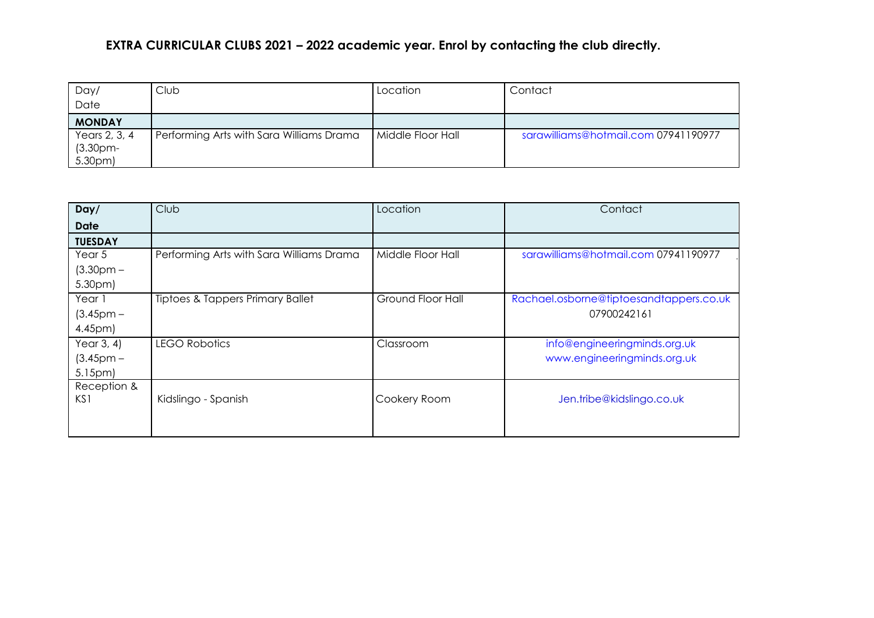## **EXTRA CURRICULAR CLUBS 2021 – 2022 academic year. Enrol by contacting the club directly.**

| Day/               | Club                                     | Location          | Contact                              |
|--------------------|------------------------------------------|-------------------|--------------------------------------|
| Date               |                                          |                   |                                      |
| <b>MONDAY</b>      |                                          |                   |                                      |
| Years 2, 3, 4      | Performing Arts with Sara Williams Drama | Middle Floor Hall | sarawilliams@hotmail.com 07941190977 |
| $(3.30pm-)$        |                                          |                   |                                      |
| 5.30 <sub>pm</sub> |                                          |                   |                                      |

| Day/               | Club                                        | Location          | Contact                                 |
|--------------------|---------------------------------------------|-------------------|-----------------------------------------|
| <b>Date</b>        |                                             |                   |                                         |
| <b>TUESDAY</b>     |                                             |                   |                                         |
| Year 5             | Performing Arts with Sara Williams Drama    | Middle Floor Hall | sarawilliams@hotmail.com 07941190977    |
| $(3.30pm -$        |                                             |                   |                                         |
| 5.30 <sub>pm</sub> |                                             |                   |                                         |
| Year 1             | <b>Tiptoes &amp; Tappers Primary Ballet</b> | Ground Floor Hall | Rachael.osborne@tiptoesandtappers.co.uk |
| $(3.45pm -$        |                                             |                   | 07900242161                             |
| 4.45pm)            |                                             |                   |                                         |
| Year $3, 4$ )      | <b>LEGO Robotics</b>                        | Classroom         | info@engineeringminds.org.uk            |
| $(3.45pm -$        |                                             |                   | www.engineeringminds.org.uk             |
| 5.15pm             |                                             |                   |                                         |
| Reception &        |                                             |                   |                                         |
| KS1                | Kidslingo - Spanish                         | Cookery Room      | Jen.tribe@kidslingo.co.uk               |
|                    |                                             |                   |                                         |
|                    |                                             |                   |                                         |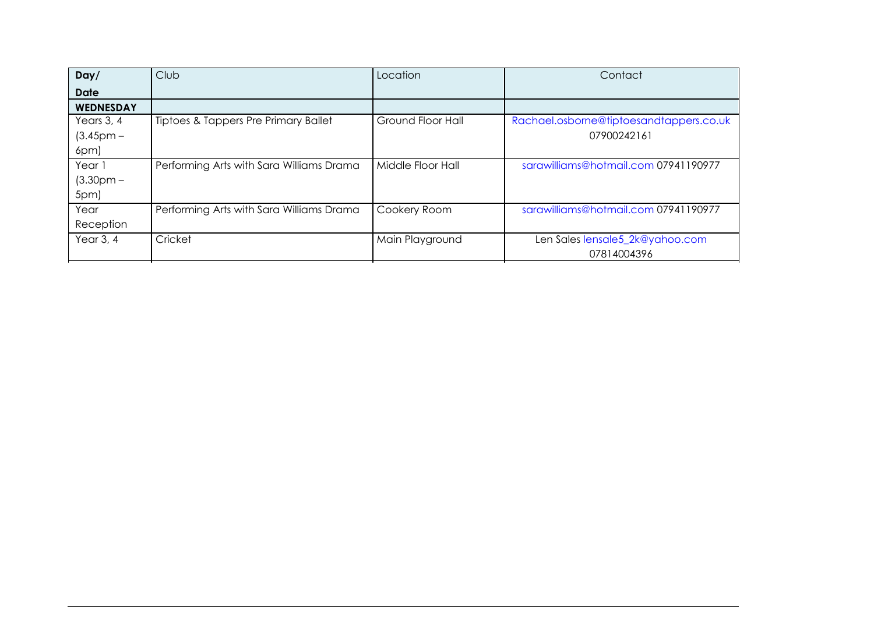| Day/             | Club                                     | Location          | Contact                                 |
|------------------|------------------------------------------|-------------------|-----------------------------------------|
| <b>Date</b>      |                                          |                   |                                         |
| <b>WEDNESDAY</b> |                                          |                   |                                         |
| Years 3, 4       | Tiptoes & Tappers Pre Primary Ballet     | Ground Floor Hall | Rachael.osborne@tiptoesandtappers.co.uk |
| $(3.45pm -$      |                                          |                   | 07900242161                             |
| 6pm)             |                                          |                   |                                         |
| Year 1           | Performing Arts with Sara Williams Drama | Middle Floor Hall | sarawilliams@hotmail.com 07941190977    |
| $(3.30pm -$      |                                          |                   |                                         |
| 5pm)             |                                          |                   |                                         |
| Year             | Performing Arts with Sara Williams Drama | Cookery Room      | sarawilliams@hotmail.com 07941190977    |
| Reception        |                                          |                   |                                         |
| Year $3, 4$      | Cricket                                  | Main Playground   | Len Sales lensale5_2k@yahoo.com         |
|                  |                                          |                   | 07814004396                             |